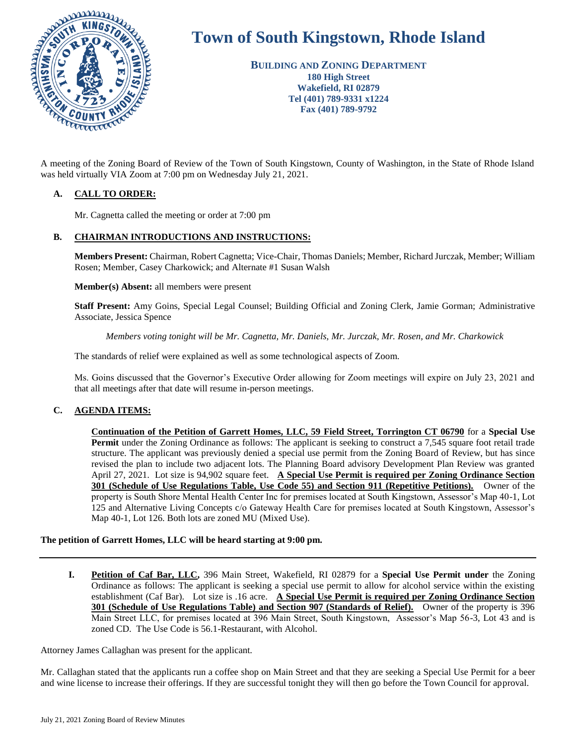

# **Town of South Kingstown, Rhode Island**

**BUILDING AND ZONING DEPARTMENT 180 High Street Wakefield, RI 02879 Tel (401) 789-9331 x1224 Fax (401) 789-9792**

was held virtually VIA Zoom at 7:00 pm on Wednesday July 21, 2021.

# **A. CALL TO ORDER:**

Mr. Cagnetta called the meeting or order at 7:00 pm

# **B. CHAIRMAN INTRODUCTIONS AND INSTRUCTIONS:**

**Members Present:** Chairman, Robert Cagnetta; Vice-Chair, Thomas Daniels; Member, Richard Jurczak, Member; William Rosen; Member, Casey Charkowick; and Alternate #1 Susan Walsh

**Member(s) Absent:** all members were present

**Staff Present:** Amy Goins, Special Legal Counsel; Building Official and Zoning Clerk, Jamie Gorman; Administrative Associate, Jessica Spence

*Members voting tonight will be Mr. Cagnetta, Mr. Daniels, Mr. Jurczak, Mr. Rosen, and Mr. Charkowick* 

The standards of relief were explained as well as some technological aspects of Zoom.

Ms. Goins discussed that the Governor's Executive Order allowing for Zoom meetings will expire on July 23, 2021 and that all meetings after that date will resume in-person meetings.

# **C. AGENDA ITEMS:**

**Continuation of the Petition of Garrett Homes, LLC, 59 Field Street, Torrington CT 06790** for a **Special Use Permit** under the Zoning Ordinance as follows: The applicant is seeking to construct a 7,545 square foot retail trade structure. The applicant was previously denied a special use permit from the Zoning Board of Review, but has since revised the plan to include two adjacent lots. The Planning Board advisory Development Plan Review was granted April 27, 2021. Lot size is 94,902 square feet. **A Special Use Permit is required per Zoning Ordinance Section 301 (Schedule of Use Regulations Table, Use Code 55) and Section 911 (Repetitive Petitions).** Owner of the property is South Shore Mental Health Center Inc for premises located at South Kingstown, Assessor's Map 40-1, Lot 125 and Alternative Living Concepts c/o Gateway Health Care for premises located at South Kingstown, Assessor's Map 40-1, Lot 126. Both lots are zoned MU (Mixed Use).

# **The petition of Garrett Homes, LLC will be heard starting at 9:00 pm.**

**I. Petition of Caf Bar, LLC,** 396 Main Street, Wakefield, RI 02879 for a **Special Use Permit under** the Zoning Ordinance as follows: The applicant is seeking a special use permit to allow for alcohol service within the existing establishment (Caf Bar). Lot size is .16 acre. **A Special Use Permit is required per Zoning Ordinance Section 301 (Schedule of Use Regulations Table) and Section 907 (Standards of Relief).** Owner of the property is 396 Main Street LLC, for premises located at 396 Main Street, South Kingstown, Assessor's Map 56-3, Lot 43 and is zoned CD. The Use Code is 56.1-Restaurant, with Alcohol.

Attorney James Callaghan was present for the applicant.

Mr. Callaghan stated that the applicants run a coffee shop on Main Street and that they are seeking a Special Use Permit for a beer and wine license to increase their offerings. If they are successful tonight they will then go before the Town Council for approval.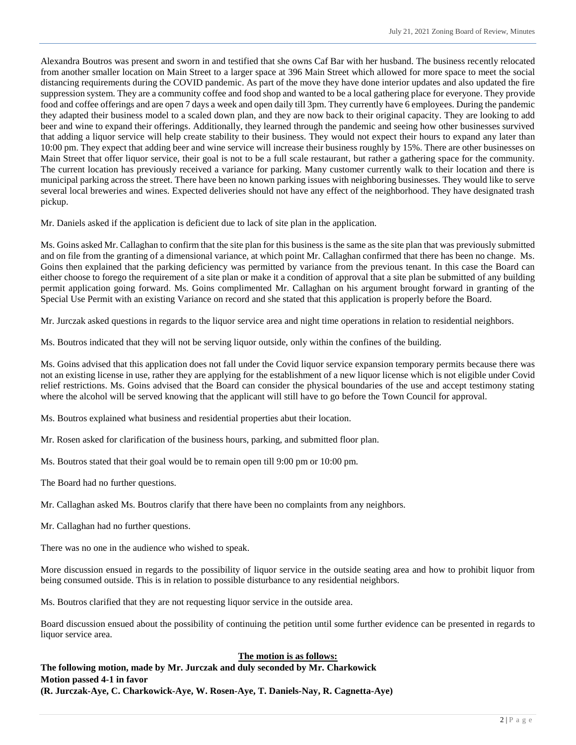Alexandra Boutros was present and sworn in and testified that she owns Caf Bar with her husband. The business recently relocated from another smaller location on Main Street to a larger space at 396 Main Street which allowed for more space to meet the social distancing requirements during the COVID pandemic. As part of the move they have done interior updates and also updated the fire suppression system. They are a community coffee and food shop and wanted to be a local gathering place for everyone. They provide food and coffee offerings and are open 7 days a week and open daily till 3pm. They currently have 6 employees. During the pandemic they adapted their business model to a scaled down plan, and they are now back to their original capacity. They are looking to add beer and wine to expand their offerings. Additionally, they learned through the pandemic and seeing how other businesses survived that adding a liquor service will help create stability to their business. They would not expect their hours to expand any later than 10:00 pm. They expect that adding beer and wine service will increase their business roughly by 15%. There are other businesses on Main Street that offer liquor service, their goal is not to be a full scale restaurant, but rather a gathering space for the community. The current location has previously received a variance for parking. Many customer currently walk to their location and there is municipal parking across the street. There have been no known parking issues with neighboring businesses. They would like to serve several local breweries and wines. Expected deliveries should not have any effect of the neighborhood. They have designated trash pickup.

Mr. Daniels asked if the application is deficient due to lack of site plan in the application.

Ms. Goins asked Mr. Callaghan to confirm that the site plan for this business is the same as the site plan that was previously submitted and on file from the granting of a dimensional variance, at which point Mr. Callaghan confirmed that there has been no change. Ms. Goins then explained that the parking deficiency was permitted by variance from the previous tenant. In this case the Board can either choose to forego the requirement of a site plan or make it a condition of approval that a site plan be submitted of any building permit application going forward. Ms. Goins complimented Mr. Callaghan on his argument brought forward in granting of the Special Use Permit with an existing Variance on record and she stated that this application is properly before the Board.

Mr. Jurczak asked questions in regards to the liquor service area and night time operations in relation to residential neighbors.

Ms. Boutros indicated that they will not be serving liquor outside, only within the confines of the building.

Ms. Goins advised that this application does not fall under the Covid liquor service expansion temporary permits because there was not an existing license in use, rather they are applying for the establishment of a new liquor license which is not eligible under Covid relief restrictions. Ms. Goins advised that the Board can consider the physical boundaries of the use and accept testimony stating where the alcohol will be served knowing that the applicant will still have to go before the Town Council for approval.

Ms. Boutros explained what business and residential properties abut their location.

Mr. Rosen asked for clarification of the business hours, parking, and submitted floor plan.

Ms. Boutros stated that their goal would be to remain open till 9:00 pm or 10:00 pm.

The Board had no further questions.

Mr. Callaghan asked Ms. Boutros clarify that there have been no complaints from any neighbors.

Mr. Callaghan had no further questions.

There was no one in the audience who wished to speak.

More discussion ensued in regards to the possibility of liquor service in the outside seating area and how to prohibit liquor from being consumed outside. This is in relation to possible disturbance to any residential neighbors.

Ms. Boutros clarified that they are not requesting liquor service in the outside area.

Board discussion ensued about the possibility of continuing the petition until some further evidence can be presented in regards to liquor service area.

# **The motion is as follows:**

**The following motion, made by Mr. Jurczak and duly seconded by Mr. Charkowick Motion passed 4-1 in favor (R. Jurczak-Aye, C. Charkowick-Aye, W. Rosen-Aye, T. Daniels-Nay, R. Cagnetta-Aye)**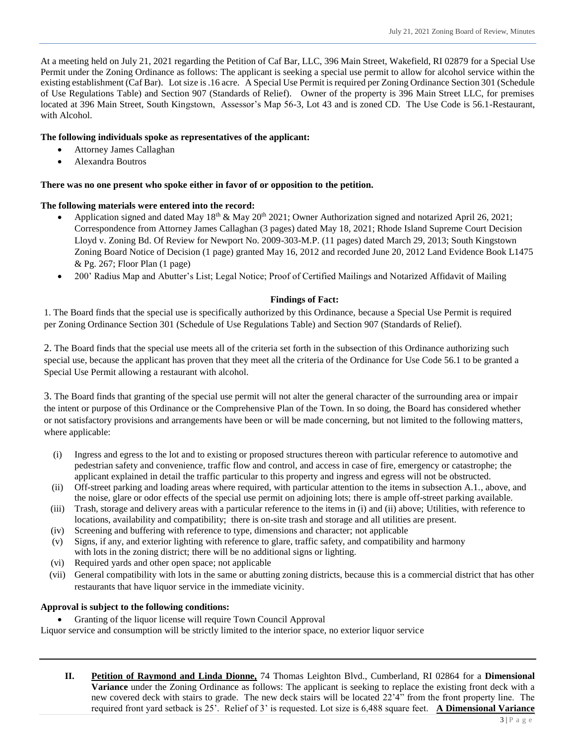At a meeting held on July 21, 2021 regarding the Petition of Caf Bar, LLC, 396 Main Street, Wakefield, RI 02879 for a Special Use Permit under the Zoning Ordinance as follows: The applicant is seeking a special use permit to allow for alcohol service within the existing establishment (Caf Bar). Lot size is .16 acre. A Special Use Permit is required per Zoning Ordinance Section 301 (Schedule of Use Regulations Table) and Section 907 (Standards of Relief). Owner of the property is 396 Main Street LLC, for premises located at 396 Main Street, South Kingstown, Assessor's Map 56-3, Lot 43 and is zoned CD. The Use Code is 56.1-Restaurant, with Alcohol.

# **The following individuals spoke as representatives of the applicant:**

- Attorney James Callaghan
- Alexandra Boutros

# **There was no one present who spoke either in favor of or opposition to the petition.**

#### **The following materials were entered into the record:**

- Application signed and dated May 18<sup>th</sup> & May 20<sup>th</sup> 2021; Owner Authorization signed and notarized April 26, 2021; Correspondence from Attorney James Callaghan (3 pages) dated May 18, 2021; Rhode Island Supreme Court Decision Lloyd v. Zoning Bd. Of Review for Newport No. 2009-303-M.P. (11 pages) dated March 29, 2013; South Kingstown Zoning Board Notice of Decision (1 page) granted May 16, 2012 and recorded June 20, 2012 Land Evidence Book L1475 & Pg. 267; Floor Plan (1 page)
- 200' Radius Map and Abutter's List; Legal Notice; Proof of Certified Mailings and Notarized Affidavit of Mailing

# **Findings of Fact:**

1. The Board finds that the special use is specifically authorized by this Ordinance, because a Special Use Permit is required per Zoning Ordinance Section 301 (Schedule of Use Regulations Table) and Section 907 (Standards of Relief).

2. The Board finds that the special use meets all of the criteria set forth in the subsection of this Ordinance authorizing such special use, because the applicant has proven that they meet all the criteria of the Ordinance for Use Code 56.1 to be granted a Special Use Permit allowing a restaurant with alcohol.

3. The Board finds that granting of the special use permit will not alter the general character of the surrounding area or impair the intent or purpose of this Ordinance or the Comprehensive Plan of the Town. In so doing, the Board has considered whether or not satisfactory provisions and arrangements have been or will be made concerning, but not limited to the following matters, where applicable:

- (i) Ingress and egress to the lot and to existing or proposed structures thereon with particular reference to automotive and pedestrian safety and convenience, traffic flow and control, and access in case of fire, emergency or catastrophe; the applicant explained in detail the traffic particular to this property and ingress and egress will not be obstructed.
- (ii) Off-street parking and loading areas where required, with particular attention to the items in subsection A.1., above, and the noise, glare or odor effects of the special use permit on adjoining lots; there is ample off-street parking available.
- (iii) Trash, storage and delivery areas with a particular reference to the items in (i) and (ii) above; Utilities, with reference to locations, availability and compatibility; there is on-site trash and storage and all utilities are present.
- (iv) Screening and buffering with reference to type, dimensions and character; not applicable
- (v) Signs, if any, and exterior lighting with reference to glare, traffic safety, and compatibility and harmony with lots in the zoning district; there will be no additional signs or lighting.
- (vi) Required yards and other open space; not applicable
- (vii) General compatibility with lots in the same or abutting zoning districts, because this is a commercial district that has other restaurants that have liquor service in the immediate vicinity.

# **Approval is subject to the following conditions:**

Granting of the liquor license will require Town Council Approval

Liquor service and consumption will be strictly limited to the interior space, no exterior liquor service

**II. Petition of Raymond and Linda Dionne,** 74 Thomas Leighton Blvd., Cumberland, RI 02864 for a **Dimensional Variance** under the Zoning Ordinance as follows: The applicant is seeking to replace the existing front deck with a new covered deck with stairs to grade. The new deck stairs will be located 22'4" from the front property line. The required front yard setback is 25'. Relief of 3' is requested. Lot size is 6,488 square feet. **A Dimensional Variance**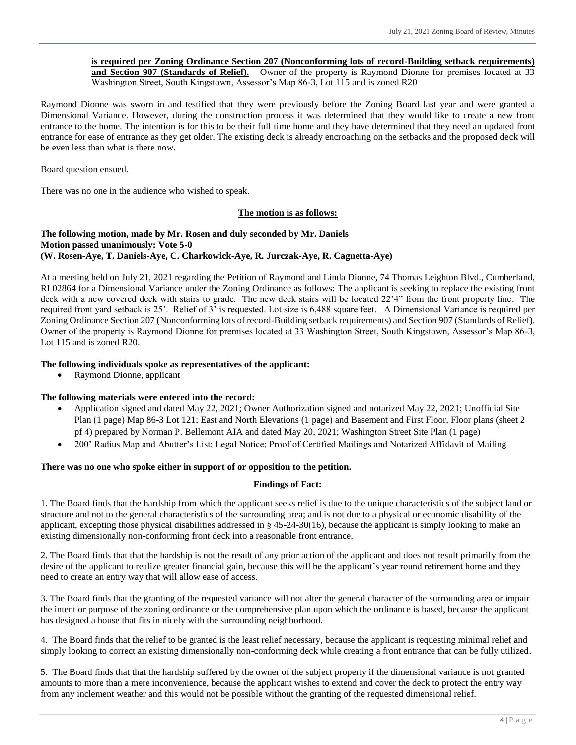**is required per Zoning Ordinance Section 207 (Nonconforming lots of record-Building setback requirements) and Section 907 (Standards of Relief).** Owner of the property is Raymond Dionne for premises located at 33 Washington Street, South Kingstown, Assessor's Map 86-3, Lot 115 and is zoned R20

Raymond Dionne was sworn in and testified that they were previously before the Zoning Board last year and were granted a Dimensional Variance. However, during the construction process it was determined that they would like to create a new front entrance to the home. The intention is for this to be their full time home and they have determined that they need an updated front entrance for ease of entrance as they get older. The existing deck is already encroaching on the setbacks and the proposed deck will be even less than what is there now.

Board question ensued.

There was no one in the audience who wished to speak.

#### **The motion is as follows:**

#### **The following motion, made by Mr. Rosen and duly seconded by Mr. Daniels Motion passed unanimously: Vote 5-0 (W. Rosen-Aye, T. Daniels-Aye, C. Charkowick-Aye, R. Jurczak-Aye, R. Cagnetta-Aye)**

At a meeting held on July 21, 2021 regarding the Petition of Raymond and Linda Dionne, 74 Thomas Leighton Blvd., Cumberland, RI 02864 for a Dimensional Variance under the Zoning Ordinance as follows: The applicant is seeking to replace the existing front deck with a new covered deck with stairs to grade. The new deck stairs will be located 22'4" from the front property line. The required front yard setback is 25'. Relief of 3' is requested. Lot size is 6,488 square feet. A Dimensional Variance is required per Zoning Ordinance Section 207 (Nonconforming lots of record-Building setback requirements) and Section 907 (Standards of Relief). Owner of the property is Raymond Dionne for premises located at 33 Washington Street, South Kingstown, Assessor's Map 86-3, Lot 115 and is zoned R20.

#### **The following individuals spoke as representatives of the applicant:**

Raymond Dionne, applicant

#### **The following materials were entered into the record:**

- Application signed and dated May 22, 2021; Owner Authorization signed and notarized May 22, 2021; Unofficial Site Plan (1 page) Map 86-3 Lot 121; East and North Elevations (1 page) and Basement and First Floor, Floor plans (sheet 2 pf 4) prepared by Norman P. Bellemont AIA and dated May 20, 2021; Washington Street Site Plan (1 page)
- 200' Radius Map and Abutter's List; Legal Notice; Proof of Certified Mailings and Notarized Affidavit of Mailing

#### **There was no one who spoke either in support of or opposition to the petition.**

#### **Findings of Fact:**

1. The Board finds that the hardship from which the applicant seeks relief is due to the unique characteristics of the subject land or structure and not to the general characteristics of the surrounding area; and is not due to a physical or economic disability of the applicant, excepting those physical disabilities addressed in  $\S$  45-24-30(16), because the applicant is simply looking to make an existing dimensionally non-conforming front deck into a reasonable front entrance.

2. The Board finds that that the hardship is not the result of any prior action of the applicant and does not result primarily from the desire of the applicant to realize greater financial gain, because this will be the applicant's year round retirement home and they need to create an entry way that will allow ease of access.

3. The Board finds that the granting of the requested variance will not alter the general character of the surrounding area or impair the intent or purpose of the zoning ordinance or the comprehensive plan upon which the ordinance is based, because the applicant has designed a house that fits in nicely with the surrounding neighborhood.

4. The Board finds that the relief to be granted is the least relief necessary, because the applicant is requesting minimal relief and simply looking to correct an existing dimensionally non-conforming deck while creating a front entrance that can be fully utilized.

5. The Board finds that that the hardship suffered by the owner of the subject property if the dimensional variance is not granted amounts to more than a mere inconvenience, because the applicant wishes to extend and cover the deck to protect the entry way from any inclement weather and this would not be possible without the granting of the requested dimensional relief.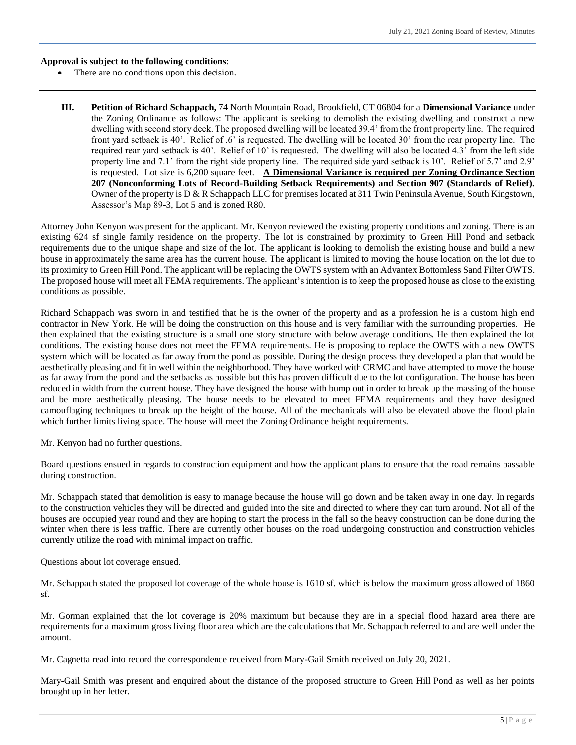#### **Approval is subject to the following conditions**:

- There are no conditions upon this decision.
- **III. Petition of Richard Schappach,** 74 North Mountain Road, Brookfield, CT 06804 for a **Dimensional Variance** under the Zoning Ordinance as follows: The applicant is seeking to demolish the existing dwelling and construct a new dwelling with second story deck. The proposed dwelling will be located 39.4' from the front property line. The required front yard setback is 40'. Relief of .6' is requested. The dwelling will be located 30' from the rear property line. The required rear yard setback is 40'. Relief of 10' is requested. The dwelling will also be located 4.3' from the left side property line and 7.1' from the right side property line. The required side yard setback is 10'. Relief of 5.7' and 2.9' is requested. Lot size is 6,200 square feet. **A Dimensional Variance is required per Zoning Ordinance Section 207 (Nonconforming Lots of Record-Building Setback Requirements) and Section 907 (Standards of Relief).** Owner of the property is D & R Schappach LLC for premises located at 311 Twin Peninsula Avenue, South Kingstown, Assessor's Map 89-3, Lot 5 and is zoned R80.

Attorney John Kenyon was present for the applicant. Mr. Kenyon reviewed the existing property conditions and zoning. There is an existing 624 sf single family residence on the property. The lot is constrained by proximity to Green Hill Pond and setback requirements due to the unique shape and size of the lot. The applicant is looking to demolish the existing house and build a new house in approximately the same area has the current house. The applicant is limited to moving the house location on the lot due to its proximity to Green Hill Pond. The applicant will be replacing the OWTS system with an Advantex Bottomless Sand Filter OWTS. The proposed house will meet all FEMA requirements. The applicant's intention is to keep the proposed house as close to the existing conditions as possible.

Richard Schappach was sworn in and testified that he is the owner of the property and as a profession he is a custom high end contractor in New York. He will be doing the construction on this house and is very familiar with the surrounding properties. He then explained that the existing structure is a small one story structure with below average conditions. He then explained the lot conditions. The existing house does not meet the FEMA requirements. He is proposing to replace the OWTS with a new OWTS system which will be located as far away from the pond as possible. During the design process they developed a plan that would be aesthetically pleasing and fit in well within the neighborhood. They have worked with CRMC and have attempted to move the house as far away from the pond and the setbacks as possible but this has proven difficult due to the lot configuration. The house has been reduced in width from the current house. They have designed the house with bump out in order to break up the massing of the house and be more aesthetically pleasing. The house needs to be elevated to meet FEMA requirements and they have designed camouflaging techniques to break up the height of the house. All of the mechanicals will also be elevated above the flood plain which further limits living space. The house will meet the Zoning Ordinance height requirements.

Mr. Kenyon had no further questions.

Board questions ensued in regards to construction equipment and how the applicant plans to ensure that the road remains passable during construction.

Mr. Schappach stated that demolition is easy to manage because the house will go down and be taken away in one day. In regards to the construction vehicles they will be directed and guided into the site and directed to where they can turn around. Not all of the houses are occupied year round and they are hoping to start the process in the fall so the heavy construction can be done during the winter when there is less traffic. There are currently other houses on the road undergoing construction and construction vehicles currently utilize the road with minimal impact on traffic.

Questions about lot coverage ensued.

Mr. Schappach stated the proposed lot coverage of the whole house is 1610 sf. which is below the maximum gross allowed of 1860 sf.

Mr. Gorman explained that the lot coverage is 20% maximum but because they are in a special flood hazard area there are requirements for a maximum gross living floor area which are the calculations that Mr. Schappach referred to and are well under the amount.

Mr. Cagnetta read into record the correspondence received from Mary-Gail Smith received on July 20, 2021.

Mary-Gail Smith was present and enquired about the distance of the proposed structure to Green Hill Pond as well as her points brought up in her letter.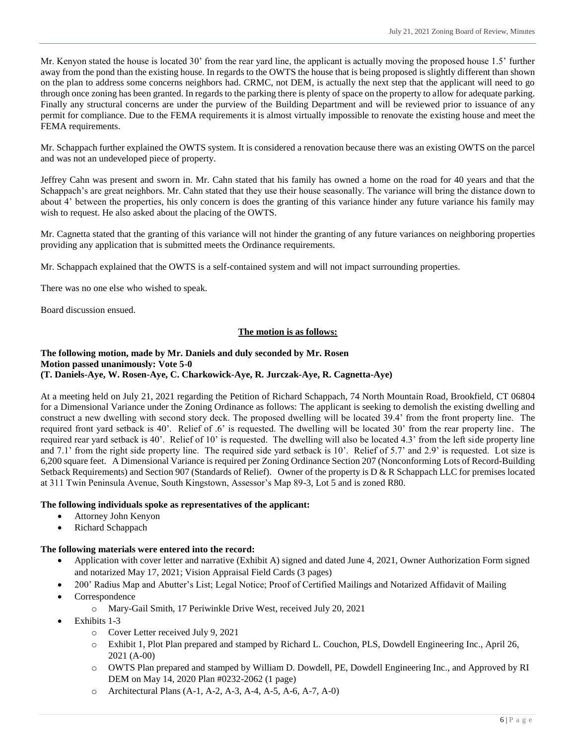Mr. Kenyon stated the house is located 30' from the rear yard line, the applicant is actually moving the proposed house 1.5' further away from the pond than the existing house. In regards to the OWTS the house that is being proposed is slightly different than shown on the plan to address some concerns neighbors had. CRMC, not DEM, is actually the next step that the applicant will need to go through once zoning has been granted. In regards to the parking there is plenty of space on the property to allow for adequate parking. Finally any structural concerns are under the purview of the Building Department and will be reviewed prior to issuance of any permit for compliance. Due to the FEMA requirements it is almost virtually impossible to renovate the existing house and meet the FEMA requirements.

Mr. Schappach further explained the OWTS system. It is considered a renovation because there was an existing OWTS on the parcel and was not an undeveloped piece of property.

Jeffrey Cahn was present and sworn in. Mr. Cahn stated that his family has owned a home on the road for 40 years and that the Schappach's are great neighbors. Mr. Cahn stated that they use their house seasonally. The variance will bring the distance down to about 4' between the properties, his only concern is does the granting of this variance hinder any future variance his family may wish to request. He also asked about the placing of the OWTS.

Mr. Cagnetta stated that the granting of this variance will not hinder the granting of any future variances on neighboring properties providing any application that is submitted meets the Ordinance requirements.

Mr. Schappach explained that the OWTS is a self-contained system and will not impact surrounding properties.

There was no one else who wished to speak.

Board discussion ensued.

#### **The motion is as follows:**

# **The following motion, made by Mr. Daniels and duly seconded by Mr. Rosen Motion passed unanimously: Vote 5-0**

# **(T. Daniels-Aye, W. Rosen-Aye, C. Charkowick-Aye, R. Jurczak-Aye, R. Cagnetta-Aye)**

At a meeting held on July 21, 2021 regarding the Petition of Richard Schappach, 74 North Mountain Road, Brookfield, CT 06804 for a Dimensional Variance under the Zoning Ordinance as follows: The applicant is seeking to demolish the existing dwelling and construct a new dwelling with second story deck. The proposed dwelling will be located 39.4' from the front property line. The required front yard setback is 40'. Relief of .6' is requested. The dwelling will be located 30' from the rear property line. The required rear yard setback is 40'. Relief of 10' is requested. The dwelling will also be located 4.3' from the left side property line and 7.1' from the right side property line. The required side yard setback is 10'. Relief of 5.7' and 2.9' is requested. Lot size is 6,200 square feet. A Dimensional Variance is required per Zoning Ordinance Section 207 (Nonconforming Lots of Record-Building Setback Requirements) and Section 907 (Standards of Relief). Owner of the property is D & R Schappach LLC for premises located at 311 Twin Peninsula Avenue, South Kingstown, Assessor's Map 89-3, Lot 5 and is zoned R80.

# **The following individuals spoke as representatives of the applicant:**

- Attorney John Kenyon
- Richard Schappach

# **The following materials were entered into the record:**

- Application with cover letter and narrative (Exhibit A) signed and dated June 4, 2021, Owner Authorization Form signed and notarized May 17, 2021; Vision Appraisal Field Cards (3 pages)
- 200' Radius Map and Abutter's List; Legal Notice; Proof of Certified Mailings and Notarized Affidavit of Mailing
- Correspondence
	- o Mary-Gail Smith, 17 Periwinkle Drive West, received July 20, 2021
- Exhibits 1-3
	- o Cover Letter received July 9, 2021
	- o Exhibit 1, Plot Plan prepared and stamped by Richard L. Couchon, PLS, Dowdell Engineering Inc., April 26, 2021 (A-00)
	- o OWTS Plan prepared and stamped by William D. Dowdell, PE, Dowdell Engineering Inc., and Approved by RI DEM on May 14, 2020 Plan #0232-2062 (1 page)
	- o Architectural Plans (A-1, A-2, A-3, A-4, A-5, A-6, A-7, A-0)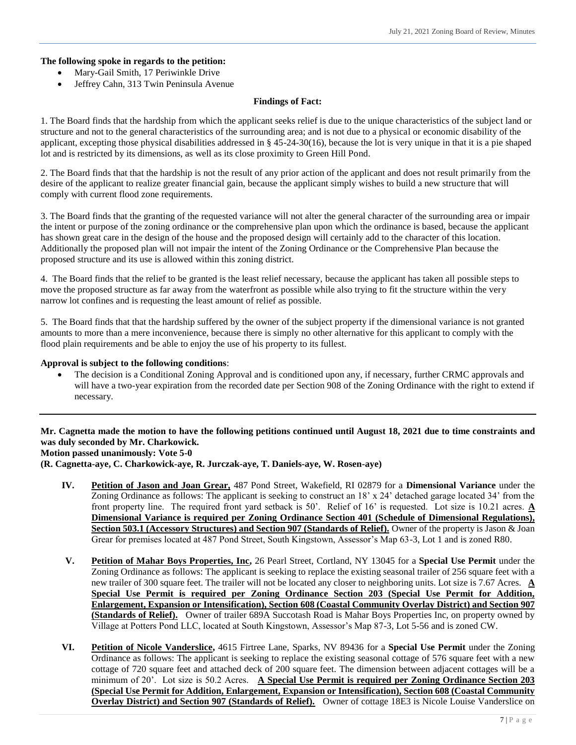## **The following spoke in regards to the petition:**

- Mary-Gail Smith, 17 Periwinkle Drive
- Jeffrey Cahn, 313 Twin Peninsula Avenue

#### **Findings of Fact:**

1. The Board finds that the hardship from which the applicant seeks relief is due to the unique characteristics of the subject land or structure and not to the general characteristics of the surrounding area; and is not due to a physical or economic disability of the applicant, excepting those physical disabilities addressed in § 45-24-30(16), because the lot is very unique in that it is a pie shaped lot and is restricted by its dimensions, as well as its close proximity to Green Hill Pond.

2. The Board finds that that the hardship is not the result of any prior action of the applicant and does not result primarily from the desire of the applicant to realize greater financial gain, because the applicant simply wishes to build a new structure that will comply with current flood zone requirements.

3. The Board finds that the granting of the requested variance will not alter the general character of the surrounding area or impair the intent or purpose of the zoning ordinance or the comprehensive plan upon which the ordinance is based, because the applicant has shown great care in the design of the house and the proposed design will certainly add to the character of this location. Additionally the proposed plan will not impair the intent of the Zoning Ordinance or the Comprehensive Plan because the proposed structure and its use is allowed within this zoning district.

4. The Board finds that the relief to be granted is the least relief necessary, because the applicant has taken all possible steps to move the proposed structure as far away from the waterfront as possible while also trying to fit the structure within the very narrow lot confines and is requesting the least amount of relief as possible.

5. The Board finds that that the hardship suffered by the owner of the subject property if the dimensional variance is not granted amounts to more than a mere inconvenience, because there is simply no other alternative for this applicant to comply with the flood plain requirements and be able to enjoy the use of his property to its fullest.

#### **Approval is subject to the following conditions**:

 The decision is a Conditional Zoning Approval and is conditioned upon any, if necessary, further CRMC approvals and will have a two-year expiration from the recorded date per Section 908 of the Zoning Ordinance with the right to extend if necessary.

#### **Mr. Cagnetta made the motion to have the following petitions continued until August 18, 2021 due to time constraints and was duly seconded by Mr. Charkowick. Motion passed unanimously: Vote 5-0**

**(R. Cagnetta-aye, C. Charkowick-aye, R. Jurczak-aye, T. Daniels-aye, W. Rosen-aye)**

- **IV. Petition of Jason and Joan Grear,** 487 Pond Street, Wakefield, RI 02879 for a **Dimensional Variance** under the Zoning Ordinance as follows: The applicant is seeking to construct an 18' x 24' detached garage located 34' from the front property line. The required front yard setback is 50'. Relief of 16' is requested. Lot size is 10.21 acres. **A Dimensional Variance is required per Zoning Ordinance Section 401 (Schedule of Dimensional Regulations), Section 503.1 (Accessory Structures) and Section 907 (Standards of Relief).** Owner of the property is Jason & Joan Grear for premises located at 487 Pond Street, South Kingstown, Assessor's Map 63-3, Lot 1 and is zoned R80.
- **V. Petition of Mahar Boys Properties, Inc,** 26 Pearl Street, Cortland, NY 13045 for a **Special Use Permit** under the Zoning Ordinance as follows: The applicant is seeking to replace the existing seasonal trailer of 256 square feet with a new trailer of 300 square feet. The trailer will not be located any closer to neighboring units. Lot size is 7.67 Acres. **A Special Use Permit is required per Zoning Ordinance Section 203 (Special Use Permit for Addition, Enlargement, Expansion or Intensification), Section 608 (Coastal Community Overlay District) and Section 907 (Standards of Relief).** Owner of trailer 689A Succotash Road is Mahar Boys Properties Inc, on property owned by Village at Potters Pond LLC, located at South Kingstown, Assessor's Map 87-3, Lot 5-56 and is zoned CW.
- **VI. Petition of Nicole Vanderslice,** 4615 Firtree Lane, Sparks, NV 89436 for a **Special Use Permit** under the Zoning Ordinance as follows: The applicant is seeking to replace the existing seasonal cottage of 576 square feet with a new cottage of 720 square feet and attached deck of 200 square feet. The dimension between adjacent cottages will be a minimum of 20'. Lot size is 50.2 Acres. **A Special Use Permit is required per Zoning Ordinance Section 203 (Special Use Permit for Addition, Enlargement, Expansion or Intensification), Section 608 (Coastal Community Overlay District) and Section 907 (Standards of Relief).** Owner of cottage 18E3 is Nicole Louise Vanderslice on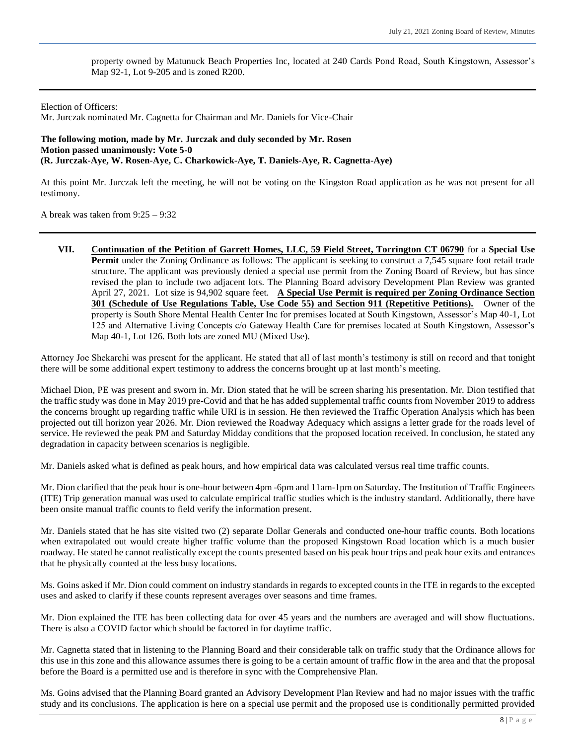property owned by Matunuck Beach Properties Inc, located at 240 Cards Pond Road, South Kingstown, Assessor's Map 92-1, Lot 9-205 and is zoned R200.

Election of Officers:

Mr. Jurczak nominated Mr. Cagnetta for Chairman and Mr. Daniels for Vice-Chair

**The following motion, made by Mr. Jurczak and duly seconded by Mr. Rosen Motion passed unanimously: Vote 5-0 (R. Jurczak-Aye, W. Rosen-Aye, C. Charkowick-Aye, T. Daniels-Aye, R. Cagnetta-Aye)**

At this point Mr. Jurczak left the meeting, he will not be voting on the Kingston Road application as he was not present for all testimony.

A break was taken from 9:25 – 9:32

**VII. Continuation of the Petition of Garrett Homes, LLC, 59 Field Street, Torrington CT 06790** for a **Special Use Permit** under the Zoning Ordinance as follows: The applicant is seeking to construct a 7,545 square foot retail trade structure. The applicant was previously denied a special use permit from the Zoning Board of Review, but has since revised the plan to include two adjacent lots. The Planning Board advisory Development Plan Review was granted April 27, 2021. Lot size is 94,902 square feet. **A Special Use Permit is required per Zoning Ordinance Section 301 (Schedule of Use Regulations Table, Use Code 55) and Section 911 (Repetitive Petitions).** Owner of the property is South Shore Mental Health Center Inc for premises located at South Kingstown, Assessor's Map 40-1, Lot 125 and Alternative Living Concepts c/o Gateway Health Care for premises located at South Kingstown, Assessor's Map 40-1, Lot 126. Both lots are zoned MU (Mixed Use).

Attorney Joe Shekarchi was present for the applicant. He stated that all of last month's testimony is still on record and that tonight there will be some additional expert testimony to address the concerns brought up at last month's meeting.

Michael Dion, PE was present and sworn in. Mr. Dion stated that he will be screen sharing his presentation. Mr. Dion testified that the traffic study was done in May 2019 pre-Covid and that he has added supplemental traffic counts from November 2019 to address the concerns brought up regarding traffic while URI is in session. He then reviewed the Traffic Operation Analysis which has been projected out till horizon year 2026. Mr. Dion reviewed the Roadway Adequacy which assigns a letter grade for the roads level of service. He reviewed the peak PM and Saturday Midday conditions that the proposed location received. In conclusion, he stated any degradation in capacity between scenarios is negligible.

Mr. Daniels asked what is defined as peak hours, and how empirical data was calculated versus real time traffic counts.

Mr. Dion clarified that the peak hour is one-hour between 4pm -6pm and 11am-1pm on Saturday. The Institution of Traffic Engineers (ITE) Trip generation manual was used to calculate empirical traffic studies which is the industry standard. Additionally, there have been onsite manual traffic counts to field verify the information present.

Mr. Daniels stated that he has site visited two (2) separate Dollar Generals and conducted one-hour traffic counts. Both locations when extrapolated out would create higher traffic volume than the proposed Kingstown Road location which is a much busier roadway. He stated he cannot realistically except the counts presented based on his peak hour trips and peak hour exits and entrances that he physically counted at the less busy locations.

Ms. Goins asked if Mr. Dion could comment on industry standards in regards to excepted counts in the ITE in regards to the excepted uses and asked to clarify if these counts represent averages over seasons and time frames.

Mr. Dion explained the ITE has been collecting data for over 45 years and the numbers are averaged and will show fluctuations. There is also a COVID factor which should be factored in for daytime traffic.

Mr. Cagnetta stated that in listening to the Planning Board and their considerable talk on traffic study that the Ordinance allows for this use in this zone and this allowance assumes there is going to be a certain amount of traffic flow in the area and that the proposal before the Board is a permitted use and is therefore in sync with the Comprehensive Plan.

Ms. Goins advised that the Planning Board granted an Advisory Development Plan Review and had no major issues with the traffic study and its conclusions. The application is here on a special use permit and the proposed use is conditionally permitted provided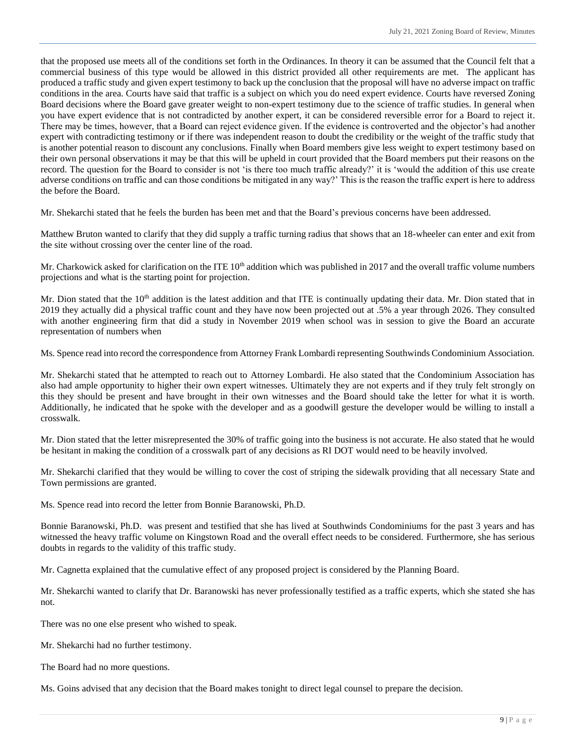that the proposed use meets all of the conditions set forth in the Ordinances. In theory it can be assumed that the Council felt that a commercial business of this type would be allowed in this district provided all other requirements are met. The applicant has produced a traffic study and given expert testimony to back up the conclusion that the proposal will have no adverse impact on traffic conditions in the area. Courts have said that traffic is a subject on which you do need expert evidence. Courts have reversed Zoning Board decisions where the Board gave greater weight to non-expert testimony due to the science of traffic studies. In general when you have expert evidence that is not contradicted by another expert, it can be considered reversible error for a Board to reject it. There may be times, however, that a Board can reject evidence given. If the evidence is controverted and the objector's had another expert with contradicting testimony or if there was independent reason to doubt the credibility or the weight of the traffic study that is another potential reason to discount any conclusions. Finally when Board members give less weight to expert testimony based on their own personal observations it may be that this will be upheld in court provided that the Board members put their reasons on the record. The question for the Board to consider is not 'is there too much traffic already?' it is 'would the addition of this use create adverse conditions on traffic and can those conditions be mitigated in any way?' This is the reason the traffic expert is here to address the before the Board.

Mr. Shekarchi stated that he feels the burden has been met and that the Board's previous concerns have been addressed.

Matthew Bruton wanted to clarify that they did supply a traffic turning radius that shows that an 18-wheeler can enter and exit from the site without crossing over the center line of the road.

Mr. Charkowick asked for clarification on the ITE  $10<sup>th</sup>$  addition which was published in 2017 and the overall traffic volume numbers projections and what is the starting point for projection.

Mr. Dion stated that the  $10<sup>th</sup>$  addition is the latest addition and that ITE is continually updating their data. Mr. Dion stated that in 2019 they actually did a physical traffic count and they have now been projected out at .5% a year through 2026. They consulted with another engineering firm that did a study in November 2019 when school was in session to give the Board an accurate representation of numbers when

Ms. Spence read into record the correspondence from Attorney Frank Lombardi representing Southwinds Condominium Association.

Mr. Shekarchi stated that he attempted to reach out to Attorney Lombardi. He also stated that the Condominium Association has also had ample opportunity to higher their own expert witnesses. Ultimately they are not experts and if they truly felt strongly on this they should be present and have brought in their own witnesses and the Board should take the letter for what it is worth. Additionally, he indicated that he spoke with the developer and as a goodwill gesture the developer would be willing to install a crosswalk.

Mr. Dion stated that the letter misrepresented the 30% of traffic going into the business is not accurate. He also stated that he would be hesitant in making the condition of a crosswalk part of any decisions as RI DOT would need to be heavily involved.

Mr. Shekarchi clarified that they would be willing to cover the cost of striping the sidewalk providing that all necessary State and Town permissions are granted.

Ms. Spence read into record the letter from Bonnie Baranowski, Ph.D.

Bonnie Baranowski, Ph.D. was present and testified that she has lived at Southwinds Condominiums for the past 3 years and has witnessed the heavy traffic volume on Kingstown Road and the overall effect needs to be considered. Furthermore, she has serious doubts in regards to the validity of this traffic study.

Mr. Cagnetta explained that the cumulative effect of any proposed project is considered by the Planning Board.

Mr. Shekarchi wanted to clarify that Dr. Baranowski has never professionally testified as a traffic experts, which she stated she has not.

There was no one else present who wished to speak.

Mr. Shekarchi had no further testimony.

The Board had no more questions.

Ms. Goins advised that any decision that the Board makes tonight to direct legal counsel to prepare the decision.